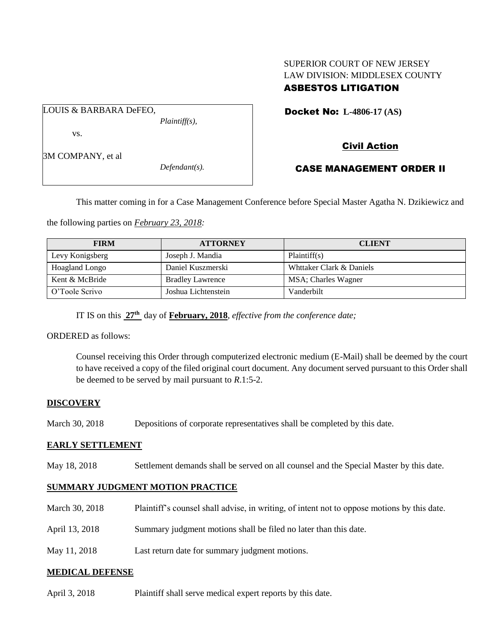#### SUPERIOR COURT OF NEW JERSEY LAW DIVISION: MIDDLESEX COUNTY ASBESTOS LITIGATION

LOUIS & BARBARA DeFEO, *Plaintiff(s),*

vs.

3M COMPANY, et al

*Defendant(s).*

Docket No: **L-4806-17 (AS)** 

# Civil Action

## CASE MANAGEMENT ORDER II

This matter coming in for a Case Management Conference before Special Master Agatha N. Dzikiewicz and

the following parties on *February 23, 2018:*

| <b>FIRM</b>     | <b>ATTORNEY</b>         | <b>CLIENT</b>            |
|-----------------|-------------------------|--------------------------|
| Levy Konigsberg | Joseph J. Mandia        | Plaintiff(s)             |
| Hoagland Longo  | Daniel Kuszmerski       | Whttaker Clark & Daniels |
| Kent & McBride  | <b>Bradley Lawrence</b> | MSA; Charles Wagner      |
| O'Toole Scrivo  | Joshua Lichtenstein     | Vanderbilt               |

IT IS on this **27th** day of **February, 2018**, *effective from the conference date;*

ORDERED as follows:

Counsel receiving this Order through computerized electronic medium (E-Mail) shall be deemed by the court to have received a copy of the filed original court document. Any document served pursuant to this Order shall be deemed to be served by mail pursuant to *R*.1:5-2.

### **DISCOVERY**

March 30, 2018 Depositions of corporate representatives shall be completed by this date.

## **EARLY SETTLEMENT**

May 18, 2018 Settlement demands shall be served on all counsel and the Special Master by this date.

## **SUMMARY JUDGMENT MOTION PRACTICE**

| March 30, 2018 | Plaintiff's counsel shall advise, in writing, of intent not to oppose motions by this date. |
|----------------|---------------------------------------------------------------------------------------------|
| April 13, 2018 | Summary judgment motions shall be filed no later than this date.                            |

May 11, 2018 Last return date for summary judgment motions.

## **MEDICAL DEFENSE**

April 3, 2018 Plaintiff shall serve medical expert reports by this date.